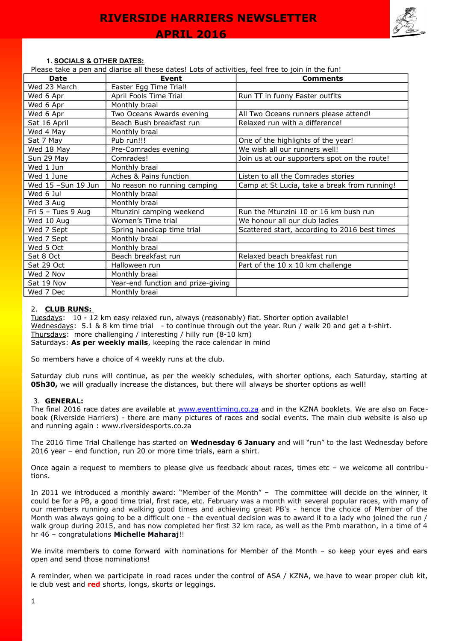#### **1. SOCIALS & OTHER DATES:**

Please take a pen and diarise all these dates! Lots of activities, feel free to join in the fun!

| Date                 | <b>Event</b>                       | <b>Comments</b>                               |
|----------------------|------------------------------------|-----------------------------------------------|
| Wed 23 March         | Easter Egg Time Trial!             |                                               |
| Wed 6 Apr            | April Fools Time Trial             | Run TT in funny Easter outfits                |
| Wed 6 Apr            | Monthly braai                      |                                               |
| Wed 6 Apr            | Two Oceans Awards evening          | All Two Oceans runners please attend!         |
| Sat 16 April         | Beach Bush breakfast run           | Relaxed run with a difference!                |
| Wed 4 May            | Monthly braai                      |                                               |
| Sat 7 May            | Pub run!!!                         | One of the highlights of the year!            |
| Wed 18 May           | Pre-Comrades evening               | We wish all our runners well!                 |
| Sun 29 May           | Comrades!                          | Join us at our supporters spot on the route!  |
| Wed 1 Jun            | Monthly braai                      |                                               |
| Wed 1 June           | Aches & Pains function             | Listen to all the Comrades stories            |
| Wed 15 -Sun 19 Jun   | No reason no running camping       | Camp at St Lucia, take a break from running!  |
| Wed 6 Jul            | Monthly braai                      |                                               |
| Wed 3 Aug            | Monthly braai                      |                                               |
| Fri $5 -$ Tues 9 Aug | Mtunzini camping weekend           | Run the Mtunzini 10 or 16 km bush run         |
| Wed 10 Aug           | Women's Time trial                 | We honour all our club ladies                 |
| Wed 7 Sept           | Spring handicap time trial         | Scattered start, according to 2016 best times |
| Wed 7 Sept           | Monthly braai                      |                                               |
| Wed 5 Oct            | Monthly braai                      |                                               |
| Sat 8 Oct            | Beach breakfast run                | Relaxed beach breakfast run                   |
| Sat 29 Oct           | Halloween run                      | Part of the $10 \times 10$ km challenge       |
| Wed 2 Nov            | Monthly braai                      |                                               |
| Sat 19 Nov           | Year-end function and prize-giving |                                               |
| Wed 7 Dec            | Monthly braai                      |                                               |

#### 2. **CLUB RUNS:**

Tuesdays: 10 - 12 km easy relaxed run, always (reasonably) flat. Shorter option available! Wednesdays: 5.1 & 8 km time trial - to continue through out the year. Run / walk 20 and get a t-shirt. Thursdays: more challenging / interesting / hilly run (8-10 km) Saturdays: **As per weekly mails**, keeping the race calendar in mind

So members have a choice of 4 weekly runs at the club.

Saturday club runs will continue, as per the weekly schedules, with shorter options, each Saturday, starting at **05h30,** we will gradually increase the distances, but there will always be shorter options as well!

#### 3. **GENERAL:**

The final 2016 race dates are available at [www.eventtiming.co.za](http://www.eventtiming.co.za/) and in the KZNA booklets. We are also on Facebook (Riverside Harriers) - there are many pictures of races and social events. The main club website is also up and running again : www.riversidesports.co.za

The 2016 Time Trial Challenge has started on **Wednesday 6 January** and will "run" to the last Wednesday before 2016 year – end function, run 20 or more time trials, earn a shirt.

Once again a request to members to please give us feedback about races, times etc – we welcome all contributions.

In 2011 we introduced a monthly award: "Member of the Month" – The committee will decide on the winner, it could be for a PB, a good time trial, first race, etc. February was a month with several popular races, with many of our members running and walking good times and achieving great PB's - hence the choice of Member of the Month was always going to be a difficult one - the eventual decision was to award it to a lady who joined the run / walk group during 2015, and has now completed her first 32 km race, as well as the Pmb marathon, in a time of 4 hr 46 – congratulations **Michelle Maharaj**!!

We invite members to come forward with nominations for Member of the Month – so keep your eyes and ears open and send those nominations!

A reminder, when we participate in road races under the control of ASA / KZNA, we have to wear proper club kit, ie club vest and **red** shorts, longs, skorts or leggings.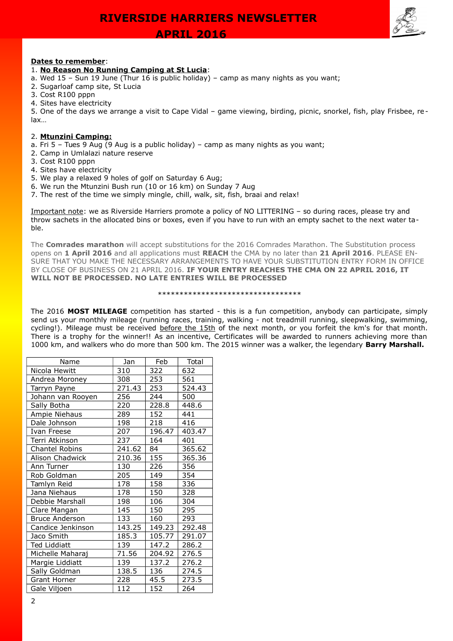**APRIL 2016** 



#### **Dates to remember**:

#### 1. **No Reason No Running Camping at St Lucia**:

- a. Wed 15 Sun 19 June (Thur 16 is public holiday) camp as many nights as you want;
- 2. Sugarloaf camp site, St Lucia
- 3. Cost R100 pppn
- 4. Sites have electricity

5. One of the days we arrange a visit to Cape Vidal – game viewing, birding, picnic, snorkel, fish, play Frisbee, relax…

#### 2. **Mtunzini Camping:**

- a. Fri 5 Tues 9 Aug (9 Aug is a public holiday) camp as many nights as you want;
- 2. Camp in Umlalazi nature reserve
- 3. Cost R100 pppn
- 4. Sites have electricity
- 5. We play a relaxed 9 holes of golf on Saturday 6 Aug;
- 6. We run the Mtunzini Bush run (10 or 16 km) on Sunday 7 Aug
- 7. The rest of the time we simply mingle, chill, walk, sit, fish, braai and relax!

Important note: we as Riverside Harriers promote a policy of NO LITTERING – so during races, please try and throw sachets in the allocated bins or boxes, even if you have to run with an empty sachet to the next water table.

The **Comrades marathon** will accept substitutions for the 2016 Comrades Marathon. The Substitution process opens on **1 April 2016** and all applications must **REACH** the CMA by no later than **21 April 2016**. PLEASE EN-SURE THAT YOU MAKE THE NECESSARY ARRANGEMENTS TO HAVE YOUR SUBSTITUTION ENTRY FORM IN OFFICE BY CLOSE OF BUSINESS ON 21 APRIL 2016. **IF YOUR ENTRY REACHES THE CMA ON 22 APRIL 2016, IT WILL NOT BE PROCESSED. NO LATE ENTRIES WILL BE PROCESSED**

#### \*\*\*\*\*\*\*\*\*\*\*\*\*\*\*\*\*\*\*\*\*\*\*\*\*\*\*\*\*\*\*\*\*

The 2016 **MOST MILEAGE** competition has started - this is a fun competition, anybody can participate, simply send us your monthly mileage (running races, training, walking - not treadmill running, sleepwalking, swimming, cycling!). Mileage must be received before the 15th of the next month, or you forfeit the km's for that month. There is a trophy for the winner!! As an incentive, Certificates will be awarded to runners achieving more than 1000 km, and walkers who do more than 500 km. The 2015 winner was a walker, the legendary **Barry Marshall.**

| Name                  | Jan    | Feb    | Total  |  |
|-----------------------|--------|--------|--------|--|
| Nicola Hewitt         | 310    | 322    | 632    |  |
| Andrea Moroney        | 308    | 253    | 561    |  |
| Tarryn Payne          | 271.43 | 253    | 524.43 |  |
| Johann van Rooyen     | 256    | 244    | 500    |  |
| Sally Botha           | 220    | 228.8  | 448.6  |  |
| Ampie Niehaus         | 289    | 152    | 441    |  |
| Dale Johnson          | 198    | 218    | 416    |  |
| Ivan Freese           | 207    | 196.47 | 403.47 |  |
| Terri Atkinson        | 237    | 164    | 401    |  |
| Chantel Robins        | 241.62 | 84     | 365.62 |  |
| Alison Chadwick       | 210.36 | 155    | 365.36 |  |
| Ann Turner            | 130    | 226    | 356    |  |
| Rob Goldman           | 205    | 149    | 354    |  |
| Tamlyn Reid           | 178    | 158    | 336    |  |
| Jana Niehaus          | 178    | 150    | 328    |  |
| Debbie Marshall       | 198    | 106    | 304    |  |
| Clare Mangan          | 145    | 150    | 295    |  |
| <b>Bruce Anderson</b> | 133    | 160    | 293    |  |
| Candice Jenkinson     | 143.25 | 149.23 | 292.48 |  |
| Jaco Smith            | 185.3  | 105.77 | 291.07 |  |
| <b>Ted Liddiatt</b>   | 139    | 147.2  | 286.2  |  |
| Michelle Maharaj      | 71.56  | 204.92 | 276.5  |  |
| Margie Liddiatt       | 139    | 137.2  | 276.2  |  |
| Sally Goldman         | 138.5  | 136    | 274.5  |  |
| <b>Grant Horner</b>   | 228    | 45.5   | 273.5  |  |
| Gale Viljoen          | 112    | 152    | 264    |  |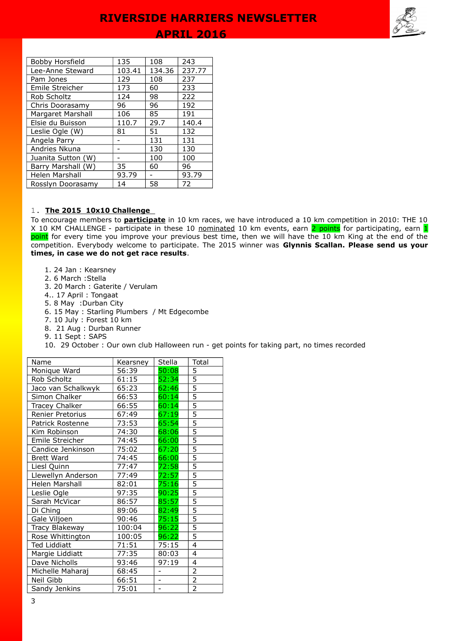

| Bobby Horsfield    | 135    | 108    | 243    |
|--------------------|--------|--------|--------|
| Lee-Anne Steward   | 103.41 | 134.36 | 237.77 |
| Pam Jones          | 129    | 108    | 237    |
| Emile Streicher    | 173    | 60     | 233    |
| Rob Scholtz        | 124    | 98     | 222    |
| Chris Doorasamy    | 96     | 96     | 192    |
| Margaret Marshall  | 106    | 85     | 191    |
| Elsie du Buisson   | 110.7  | 29.7   | 140.4  |
| Leslie Ogle (W)    | 81     | 51     | 132    |
| Angela Parry       |        | 131    | 131    |
| Andries Nkuna      |        | 130    | 130    |
| Juanita Sutton (W) |        | 100    | 100    |
| Barry Marshall (W) | 35     | 60     | 96     |
| Helen Marshall     | 93.79  |        | 93.79  |
| Rosslyn Doorasamy  | 14     | 58     | 72     |

#### 1. **The 2015 10x10 Challenge**

To encourage members to **participate** in 10 km races, we have introduced a 10 km competition in 2010: THE 10 X 10 KM CHALLENGE - participate in these 10 nominated 10 km events, earn 2 points for participating, earn 1 point for every time you improve your previous best time, then we will have the 10 km King at the end of the competition. Everybody welcome to participate. The 2015 winner was **Glynnis Scallan. Please send us your times, in case we do not get race results**.

- 1. 24 Jan : Kearsney
- 2. 6 March :Stella
- 3. 20 March : Gaterite / Verulam
- 4.. 17 April : Tongaat
- 5. 8 May :Durban City
- 6. 15 May : Starling Plumbers / Mt Edgecombe
- 7. 10 July : Forest 10 km
- 8. 21 Aug : Durban Runner
- 9. 11 Sept : SAPS
- 10. 29 October : Our own club Halloween run get points for taking part, no times recorded

| Name                | Kearsney | Stella         | Total          |
|---------------------|----------|----------------|----------------|
| Monique Ward        | 56:39    | 50:08          | 5              |
| Rob Scholtz         | 61:15    | 52:34          | 5              |
| Jaco van Schalkwyk  | 65:23    | 62:46          | 5              |
| Simon Chalker       | 66:53    | 60:14          | $\overline{5}$ |
| Tracey Chalker      | 66:55    | 60:14          | $\overline{5}$ |
| Renier Pretorius    | 67:49    | 67:19          | $\overline{5}$ |
| Patrick Rostenne    | 73:53    | 65:54          | $\overline{5}$ |
| Kim Robinson        | 74:30    | 68:06          | 5              |
| Emile Streicher     | 74:45    | 66:00          | $\overline{5}$ |
| Candice Jenkinson   | 75:02    | 67:20          | 5              |
| <b>Brett Ward</b>   | 74:45    | 66:00          | 5              |
| Liesl Quinn         | 77:47    | 72:58          | $\overline{5}$ |
| Llewellyn Anderson  | 77:49    | 72:57          | $\overline{5}$ |
| Helen Marshall      | 82:01    | 75:16          | $\overline{5}$ |
| Leslie Ogle         | 97:35    | 90:25          | 5              |
| Sarah McVicar       | 86:57    | 85:57          | $\overline{5}$ |
| Di Ching            | 89:06    | 82:49          | $\overline{5}$ |
| Gale Viljoen        | 90:46    | 75:15          | 5              |
| Tracy Blakeway      | 100:04   | 96:22          | 5              |
| Rose Whittington    | 100:05   | 96:22          | $\overline{5}$ |
| <b>Ted Liddiatt</b> | 71:51    | 75:15          | 4              |
| Margie Liddiatt     | 77:35    | 80:03          | 4              |
| Dave Nicholls       | 93:46    | 97:19          | 4              |
| Michelle Maharaj    | 68:45    | $\overline{a}$ | $\overline{2}$ |
| Neil Gibb           | 66:51    | $\overline{a}$ | $\overline{2}$ |
| Sandy Jenkins       | 75:01    |                | $\overline{2}$ |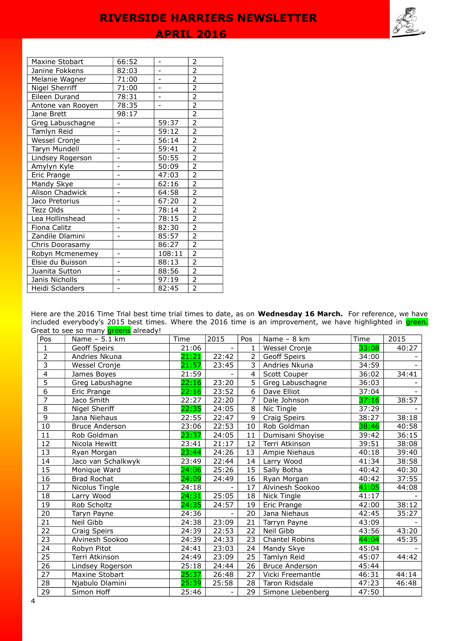| Maxine Stobart    | 66:52                    |                          | 2              |
|-------------------|--------------------------|--------------------------|----------------|
| Janine Fokkens    | 82:03                    | $\overline{a}$           | $\overline{2}$ |
| Melanie Wagner    | 71:00                    |                          | $\overline{2}$ |
| Nigel Sherriff    | 71:00                    |                          | $\overline{2}$ |
| Eileen Durand     | 78:31                    |                          | $\overline{2}$ |
| Antone van Rooyen | 78:35                    | $\overline{\phantom{0}}$ | $\overline{2}$ |
| Jane Brett        | 98:17                    |                          | $\overline{2}$ |
| Greg Labuschagne  |                          | 59:37                    | $\overline{2}$ |
| Tamlyn Reid       |                          | 59:12                    | $\overline{2}$ |
| Wessel Cronje     |                          | 56:14                    | $\overline{2}$ |
| Taryn Mundell     | $\overline{a}$           | 59:41                    | $\overline{2}$ |
| Lindsey Rogerson  |                          | 50:55                    | $\overline{2}$ |
| Amylyn Kyle       |                          | 50:09                    | $\overline{2}$ |
| Eric Prange       |                          | 47:03                    | $\overline{2}$ |
| Mandy Skye        | $\overline{a}$           | 62:16                    | $\overline{2}$ |
| Alison Chadwick   | $\overline{\phantom{0}}$ | 64:58                    | $\overline{2}$ |
| Jaco Pretorius    |                          | 67:20                    | $\overline{2}$ |
| Tezz Olds         |                          | 78:14                    | $\overline{2}$ |
| Lea Hollinshead   | $\overline{\phantom{0}}$ | 78:15                    | $\overline{2}$ |
| Fiona Calitz      |                          | 82:30                    | $\overline{2}$ |
| Zandile Dlamini   |                          | 85:57                    | $\overline{2}$ |
| Chris Doorasamy   |                          | 86:27                    | $\overline{2}$ |
| Robyn Mcmenemey   | -                        | 108:11                   | $\overline{2}$ |
| Elsie du Buisson  | $\overline{a}$           | 88:13                    | $\overline{2}$ |
| Juanita Sutton    |                          | 88:56                    | $\overline{2}$ |
| Janis Nicholls    |                          | 97:19                    | $\overline{2}$ |
| Heidi Sclanders   |                          | 82:45                    | $\overline{2}$ |

Here are the 2016 Time Trial best time trial times to date, as on **Wednesday 16 March.** For reference, we have included everybody's 2015 best times. Where the 2016 time is an improvement, we have highlighted in <mark>green.</mark> Great to see so many **greens** already!

| Pos            | Name - 5.1 km         | Time  | 2015  | Pos            | Name - 8 km           | Time  | 2015  |
|----------------|-----------------------|-------|-------|----------------|-----------------------|-------|-------|
| $\mathbf{1}$   | Geoff Speirs          | 21:06 |       | $\mathbf{1}$   | Wessel Cronje         | 33:08 | 40:27 |
| $\overline{2}$ | Andries Nkuna         | 21:21 | 22:42 | 2              | Geoff Speirs          | 34:00 |       |
| $\overline{3}$ | Wessel Cronje         | 21:57 | 23:45 | $\overline{3}$ | Andries Nkuna         | 34:59 |       |
| $\overline{4}$ | James Boyes           | 21:59 |       | $\overline{4}$ | Scott Couper          | 36:02 | 34:41 |
| $\overline{5}$ | Greg Labushagne       | 22:16 | 23:20 | $\overline{5}$ | Greg Labuschagne      | 36:03 |       |
| $\overline{6}$ | Eric Prange           | 22:16 | 23:52 | 6              | Dave Elliot           | 37:04 |       |
| $\overline{7}$ | Jaco Smith            | 22:27 | 22:20 | 7              | Dale Johnson          | 37:16 | 38:57 |
| $\overline{8}$ | Nigel Sheriff         | 22:35 | 24:05 | 8              | Nic Tingle            | 37:29 |       |
| $\overline{9}$ | Jana Niehaus          | 22:55 | 22:47 | 9              | Craig Speirs          | 38:27 | 38:18 |
| 10             | <b>Bruce Anderson</b> | 23:06 | 22:53 | 10             | Rob Goldman           | 38:46 | 40:58 |
| 11             | Rob Goldman           | 23:37 | 24:05 | 11             | Dumisani Shoyise      | 39:42 | 36:15 |
| 12             | Nicola Hewitt         | 23:41 | 21:17 | 12             | Terri Atkinson        | 39:51 | 38:08 |
| 13             | Ryan Morgan           | 23:44 | 24:26 | 13             | Ampie Niehaus         | 40:18 | 39:40 |
| 14             | Jaco van Schalkwyk    | 23:49 | 22:44 | 14             | Larry Wood            | 41:34 | 38:58 |
| 15             | Monique Ward          | 24:06 | 25:26 | 15             | Sally Botha           | 40:42 | 40:30 |
| 16             | <b>Brad Rochat</b>    | 24:09 | 24:49 | 16             | Ryan Morgan           | 40:42 | 37:55 |
| 17             | Nicolus Tingle        | 24:18 |       | 17             | Alvinesh Sookoo       | 41:05 | 44:08 |
| 18             | Larry Wood            | 24:31 | 25:05 | 18             | <b>Nick Tingle</b>    | 41:17 |       |
| 19             | Rob Scholtz           | 24:35 | 24:57 | 19             | Eric Prange           | 42:00 | 38:12 |
| 20             | Taryn Payne           | 24:36 |       | 20             | Jana Niehaus          | 42:45 | 35:27 |
| 21             | Neil Gibb             | 24:38 | 23:09 | 21             | Tarryn Payne          | 43:09 |       |
| 22             | Craig Speirs          | 24:39 | 22:53 | 22             | Neil Gibb             | 43:56 | 43:20 |
| 23             | Alvinesh Sookoo       | 24:39 | 24:33 | 23             | Chantel Robins        | 44:04 | 45:35 |
| 24             | Robyn Pitot           | 24:41 | 23:03 | 24             | Mandy Skye            | 45:04 |       |
| 25             | Terri Atkinson        | 24:49 | 23:09 | 25             | Tamlyn Reid           | 45:07 | 44:42 |
| 26             | Lindsey Rogerson      | 25:18 | 24:44 | 26             | <b>Bruce Anderson</b> | 45:44 |       |
| 27             | Maxine Stobart        | 25:37 | 26:48 | 27             | Vicki Freemantle      | 46:31 | 44:14 |
| 28             | Njabulo Dlamini       | 25:39 | 25:58 | 28             | Taron Ridsdale        | 47:23 | 46:48 |
| 29             | Simon Hoff            | 25:46 |       | 29             | Simone Liebenberg     | 47:50 |       |

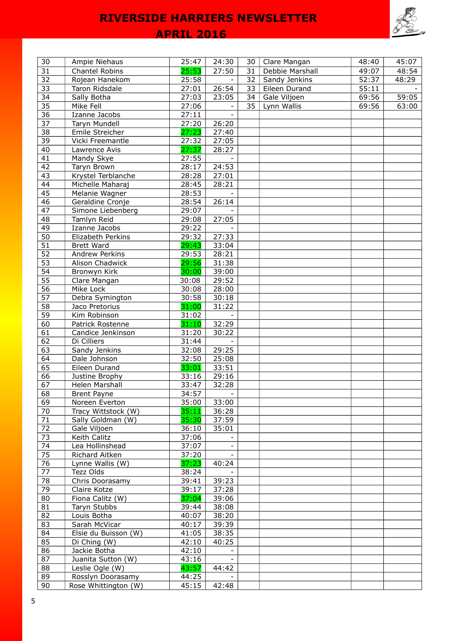# **APRIL 2016**



| 30              | Ampie Niehaus        | 25:47 | 24:30                    | 30 | Clare Mangan    | 48:40 | 45:07 |
|-----------------|----------------------|-------|--------------------------|----|-----------------|-------|-------|
| 31              | Chantel Robins       | 25:53 | 27:50                    | 31 | Debbie Marshall | 49:07 | 48:54 |
| 32              | Rojean Hanekom       | 25:58 |                          | 32 | Sandy Jenkins   | 52:37 | 48:29 |
| 33              | Taron Ridsdale       | 27:01 | 26:54                    | 33 | Eileen Durand   | 55:11 |       |
| 34              | Sally Botha          | 27:03 | 23:05                    | 34 | Gale Viljoen    | 69:56 | 59:05 |
| $\overline{35}$ | Mike Fell            | 27:06 |                          | 35 | Lynn Wallis     | 69:56 | 63:00 |
| $\overline{36}$ | Izanne Jacobs        | 27:11 |                          |    |                 |       |       |
| 37              | Taryn Mundell        | 27:20 | 26:20                    |    |                 |       |       |
| 38              | Emile Streicher      | 27:23 | 27:40                    |    |                 |       |       |
| 39              | Vicki Freemantle     | 27:32 | 27:05                    |    |                 |       |       |
| 40              | Lawrence Avis        | 27:37 | 28:27                    |    |                 |       |       |
| 41              | Mandy Skye           | 27:55 |                          |    |                 |       |       |
| 42              | Taryn Brown          | 28:17 | 24:53                    |    |                 |       |       |
| 43              | Krystel Terblanche   | 28:28 | 27:01                    |    |                 |       |       |
| 44              | Michelle Maharaj     | 28:45 | 28:21                    |    |                 |       |       |
| 45              | Melanie Wagner       | 28:53 |                          |    |                 |       |       |
| $\overline{46}$ | Geraldine Cronje     | 28:54 | 26:14                    |    |                 |       |       |
| 47              | Simone Liebenberg    | 29:07 |                          |    |                 |       |       |
| 48              | Tamlyn Reid          | 29:08 | 27:05                    |    |                 |       |       |
| 49              | Izanne Jacobs        | 29:22 |                          |    |                 |       |       |
| 50              | Elizabeth Perkins    | 29:32 | 27:33                    |    |                 |       |       |
| 51              | <b>Brett Ward</b>    | 29:43 | 33:04                    |    |                 |       |       |
| 52              | Andrew Perkins       | 29:53 | 28:21                    |    |                 |       |       |
| 53              | Alison Chadwick      | 29:56 | 31:38                    |    |                 |       |       |
| 54              | Bronwyn Kirk         | 30:00 | 39:00                    |    |                 |       |       |
| 55              | Clare Mangan         | 30:08 | 29:52                    |    |                 |       |       |
| 56              | Mike Lock            | 30:08 | 28:00                    |    |                 |       |       |
| $\overline{57}$ | Debra Symington      | 30:58 | 30:18                    |    |                 |       |       |
| 58              | Jaco Pretorius       | 31:00 | 31:22                    |    |                 |       |       |
| 59              | Kim Robinson         | 31:02 |                          |    |                 |       |       |
| 60              | Patrick Rostenne     | 31:10 | 32:29                    |    |                 |       |       |
| 61              | Candice Jenkinson    | 31:20 | 30:22                    |    |                 |       |       |
| 62              | Di Cilliers          | 31:44 |                          |    |                 |       |       |
| 63              | Sandy Jenkins        | 32:08 | 29:25                    |    |                 |       |       |
| 64              | Dale Johnson         | 32:50 | 25:08                    |    |                 |       |       |
| 65              | Eileen Durand        | 33:01 | 33:51                    |    |                 |       |       |
| 66              | Justine Brophy       | 33:16 | 29:16                    |    |                 |       |       |
| 67              | Helen Marshall       | 33:47 | 32:28                    |    |                 |       |       |
| 68              | <b>Brent Payne</b>   | 34:57 | $\overline{\phantom{a}}$ |    |                 |       |       |
| 69              | Noreen Everton       | 35:00 | 33:00                    |    |                 |       |       |
| 70              | Tracy Wittstock (W)  | 35:11 | 36:28                    |    |                 |       |       |
| 71              | Sally Goldman (W)    | 35:30 | 37:59                    |    |                 |       |       |
| 72              | Gale Viljoen         | 36:10 | 35:01                    |    |                 |       |       |
| 73              | Keith Calitz         | 37:06 | $\sim$                   |    |                 |       |       |
| 74              | Lea Hollinshead      | 37:07 | $\overline{\phantom{a}}$ |    |                 |       |       |
| 75              | Richard Aitken       | 37:20 |                          |    |                 |       |       |
| $76\,$          | Lynne Wallis (W)     | 37:23 | 40:24                    |    |                 |       |       |
| 77              | Tezz Olds            | 38:24 |                          |    |                 |       |       |
| 78              | Chris Doorasamy      | 39:41 | 39:23                    |    |                 |       |       |
| 79              | Claire Kotze         | 39:17 | 37:28                    |    |                 |       |       |
| 80              | Fiona Calitz (W)     | 37:04 | 39:06                    |    |                 |       |       |
| 81              | Taryn Stubbs         | 39:44 | 38:08                    |    |                 |       |       |
| 82              | Louis Botha          | 40:07 | 38:20                    |    |                 |       |       |
| 83              | Sarah McVicar        | 40:17 | 39:39                    |    |                 |       |       |
| 84              | Elsie du Buisson (W) | 41:05 | 38:35                    |    |                 |       |       |
| 85              | Di Ching (W)         | 42:10 | 40:25                    |    |                 |       |       |
| 86              | Jackie Botha         | 42:10 |                          |    |                 |       |       |
| 87              | Juanita Sutton (W)   | 43:16 |                          |    |                 |       |       |
| 88              | Leslie Ogle (W)      | 43:57 | 44:42                    |    |                 |       |       |
| 89              | Rosslyn Doorasamy    | 44:25 |                          |    |                 |       |       |
| 90              | Rose Whittington (W) | 45:15 | 42:48                    |    |                 |       |       |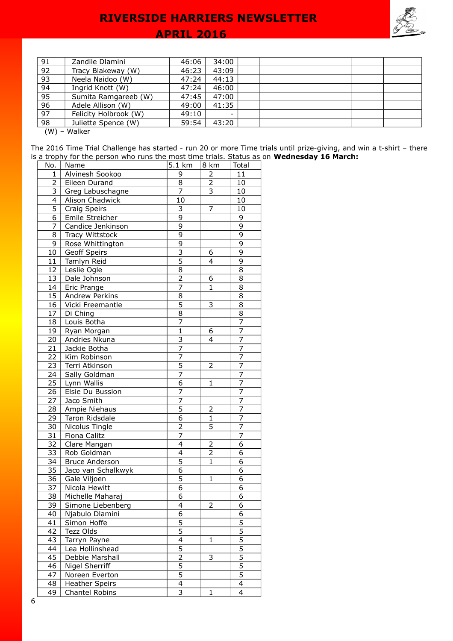## **APRIL 2016**



| 91    | Zandile Dlamini       | 46:06 | 34:00 |  |  |  |
|-------|-----------------------|-------|-------|--|--|--|
|       |                       |       |       |  |  |  |
| 92    | Tracy Blakeway (W)    | 46:23 | 43:09 |  |  |  |
| 93    | Neela Naidoo (W)      | 47:24 | 44:13 |  |  |  |
| 94    | Ingrid Knott (W)      | 47:24 | 46:00 |  |  |  |
| 95    | Sumita Ramgareeb (W)  | 47:45 | 47:00 |  |  |  |
| 96    | Adele Allison (W)     | 49:00 | 41:35 |  |  |  |
| 97    | Felicity Holbrook (W) | 49:10 |       |  |  |  |
| 98    | Juliette Spence (W)   | 59:54 | 43:20 |  |  |  |
| (111) | $M_{\odot}$           |       |       |  |  |  |

(W) – Walker

The 2016 Time Trial Challenge has started - run 20 or more Time trials until prize-giving, and win a t-shirt – there is a trophy for the person who runs the most time trials. Status as on **Wednesday 16 March:**

| No.             | Name                  | 5.1 km                    | 8 km           | Total          |
|-----------------|-----------------------|---------------------------|----------------|----------------|
| 1               | Alvinesh Sookoo       | 9                         | 2              | 11             |
| 2               | Eileen Durand         | 8                         | 2              | 10             |
| 3               | Greg Labuschagne      | 7                         | 3              | 10             |
| 4               | Alison Chadwick       | 10                        |                | 10             |
| 5               | Craig Speirs          | 3                         | 7              | 10             |
| 6               | Emile Streicher       | $\overline{9}$            |                | 9              |
| $\overline{7}$  | Candice Jenkinson     | $\overline{9}$            |                | $\overline{9}$ |
| 8               | Tracy Wittstock       | $\overline{9}$            |                | $\overline{9}$ |
| 9               | Rose Whittington      | 9                         |                | 9              |
| 10              | <b>Geoff Speirs</b>   | $\overline{\overline{3}}$ | 6              | $\overline{9}$ |
| 11              | Tamlyn Reid           | $\overline{5}$            | 4              | 9              |
| 12              | Leslie Ogle           | 8                         |                | 8              |
| 13              | Dale Johnson          | $\overline{2}$            | 6              | 8              |
| 14              | Eric Prange           | $\overline{7}$            | 1              | 8              |
| 15              | Andrew Perkins        | 8                         |                | 8              |
| 16              | Vicki Freemantle      | $\overline{5}$            | 3              | 8              |
| 17              | Di Ching              | $\overline{8}$            |                | 8              |
| 18              | Louis Botha           | 7                         |                | $\overline{7}$ |
| 19              | Ryan Morgan           | $\overline{1}$            | 6              | $\overline{7}$ |
| 20              | Andries Nkuna         | 3                         | 4              | 7              |
| 21              | Jackie Botha          | 7                         |                | 7              |
| 22              | Kim Robinson          | $\overline{7}$            |                | $\overline{7}$ |
| 23              | Terri Atkinson        | 5                         | 2              | 7              |
| 24              | Sally Goldman         | $\overline{7}$            |                | 7              |
| 25              | Lynn Wallis           | 6                         | $\mathbf{1}$   | $\overline{7}$ |
| 26              | Elsie Du Bussion      | $\overline{7}$            |                | $\overline{7}$ |
| 27              | Jaco Smith            | $\overline{7}$            |                | 7              |
| 28              | Ampie Niehaus         | $\overline{5}$            | 2              | 7              |
| 29              | Taron Ridsdale        | $\overline{6}$            | $\overline{1}$ | $\overline{7}$ |
| 30              | Nicolus Tingle        | $\overline{2}$            | $\overline{5}$ | 7              |
| 31              | Fiona Calitz          | $\overline{7}$            |                | 7              |
| $\overline{32}$ | Clare Mangan          | $\overline{\mathbf{4}}$   | $\overline{2}$ | 6              |
| $\overline{33}$ | Rob Goldman           | $\overline{\mathcal{L}}$  | $\overline{2}$ | 6              |
| 34              | <b>Bruce Anderson</b> | $\overline{5}$            | $\mathbf{1}$   | 6              |
| 35              | Jaco van Schalkwyk    | 6                         |                | 6              |
| 36              | Gale Viljoen          | $\overline{5}$            | $\mathbf{1}$   | 6              |
| 37              | Nicola Hewitt         | $\overline{6}$            |                | 6              |
| 38              | Michelle Maharaj      | $\overline{6}$            |                | 6              |
| 39              | Simone Liebenberg     | 4                         | $\overline{2}$ | $\overline{6}$ |
| 40              | Njabulo Dlamini       | $\overline{6}$            |                | 6              |
| 41              | Simon Hoffe           | $\overline{5}$            |                | $\overline{5}$ |
| 42              | Tezz Olds             | 5                         |                | $\overline{5}$ |
| 43              | Tarryn Payne          | $\overline{4}$            | $\mathbf{1}$   | $\overline{5}$ |
| 44              | Lea Hollinshead       | 5                         |                | $\overline{5}$ |
| 45              | Debbie Marshall       | $\overline{2}$            | 3              | $\overline{5}$ |
| 46              | Nigel Sherriff        | $\overline{5}$            |                | $\overline{5}$ |
| 47              | Noreen Everton        | $\overline{5}$            |                | $\overline{5}$ |
| 48              | <b>Heather Speirs</b> | $\overline{4}$            |                | $\overline{4}$ |
| 49              | <b>Chantel Robins</b> | 3                         | 1              | 4              |
|                 |                       |                           |                |                |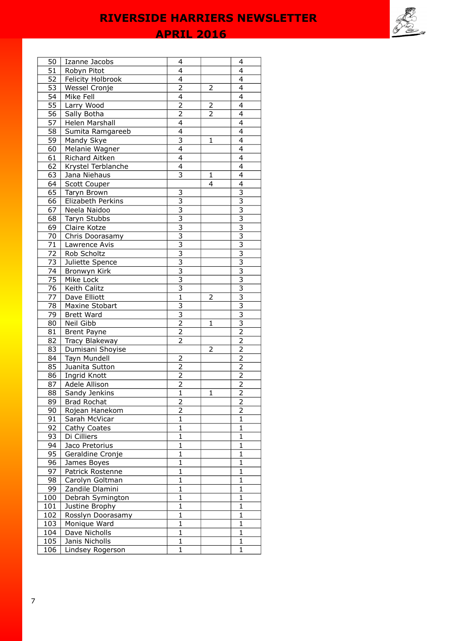**APRIL 2016** 

| 50              | Izanne Jacobs      | 4                         |                | 4                         |
|-----------------|--------------------|---------------------------|----------------|---------------------------|
| 51              | Robyn Pitot        | $\overline{4}$            |                | 4                         |
| 52              | Felicity Holbrook  | $\overline{\mathcal{L}}$  |                | $\overline{4}$            |
| 53              | Wessel Cronje      | $\overline{2}$            | 2              | 4                         |
| 54              | Mike Fell          | 4                         |                | 4                         |
| 55              | Larry Wood         | $\overline{2}$            | $\overline{2}$ | 4                         |
| 56              | Sally Botha        | $\overline{2}$            | 2              | 4                         |
| 57              | Helen Marshall     | $\overline{4}$            |                | $\overline{4}$            |
| 58              | Sumita Ramgareeb   | $\overline{4}$            |                | 4                         |
| 59              | Mandy Skye         | $\overline{\mathbf{3}}$   | 1              | $\overline{4}$            |
| 60              | Melanie Wagner     | $\overline{4}$            |                | 4                         |
| 61              | Richard Aitken     | $\overline{4}$            |                | $\overline{4}$            |
| 62              | Krystel Terblanche | $\overline{4}$            |                | $\overline{4}$            |
| 63              | Jana Niehaus       | 3                         | 1              | 4                         |
| 64              | Scott Couper       |                           | 4              | 4                         |
| 65              | Taryn Brown        | 3                         |                | $\overline{3}$            |
| 66              | Elizabeth Perkins  | $\overline{3}$            |                | $\overline{\overline{3}}$ |
| 67              | Neela Naidoo       | $\overline{3}$            |                | $\overline{\overline{3}}$ |
| 68              | Taryn Stubbs       |                           |                |                           |
| 69              | Claire Kotze       | $rac{3}{3}$               |                | $\frac{3}{3}$             |
| 70              | Chris Doorasamy    | $\overline{\overline{3}}$ |                |                           |
| 71              | Lawrence Avis      | $\overline{\overline{3}}$ |                | $\overline{3}$            |
| $\overline{72}$ | Rob Scholtz        | $\overline{\overline{3}}$ |                | $\overline{3}$            |
| 73              | Juliette Spence    | $\overline{\overline{3}}$ |                | $\overline{\overline{3}}$ |
| 74              | Bronwyn Kirk       | $\overline{\overline{3}}$ |                | $\overline{3}$            |
| 75              | Mike Lock          | 3                         |                | $\overline{3}$            |
| 76              | Keith Calitz       | $\overline{\overline{3}}$ |                | $\overline{3}$            |
| 77              | Dave Elliott       | $\overline{1}$            | $\overline{2}$ | $\overline{3}$            |
| 78              | Maxine Stobart     | 3                         |                | $\overline{\overline{3}}$ |
| 79              | <b>Brett Ward</b>  |                           |                |                           |
| 80              | Neil Gibb          | $\frac{3}{2}$             | $\mathbf{1}$   | $\frac{3}{2}$             |
| 81              | <b>Brent Payne</b> |                           |                |                           |
| 82              | Tracy Blakeway     | $\overline{2}$            |                | $\overline{2}$            |
| 83              | Dumisani Shoyise   |                           | $\overline{2}$ | $\overline{2}$            |
| 84              | Tayn Mundell       | $\overline{2}$            |                | $\overline{2}$            |
| 85              | Juanita Sutton     | $\overline{2}$            |                | $\overline{2}$            |
| 86              | Ingrid Knott       | $\overline{2}$            |                | $\overline{2}$            |
| 87              | Adele Allison      | 2                         |                | $\overline{2}$            |
| 88              | Sandy Jenkins      | $\mathbf{1}$              | $\mathbf{1}$   | $\overline{2}$            |
| 89              | <b>Brad Rochat</b> | 2                         |                | $\overline{\mathbf{c}}$   |
| 90              | Rojean Hanekom     | $\overline{2}$            |                | $\overline{2}$            |
| 91              | Sarah McVicar      | $\overline{1}$            |                | $\overline{1}$            |
| 92              | Cathy Coates       | $\overline{1}$            |                | $\overline{\mathbf{1}}$   |
| 93              | Di Cilliers        | $\mathbf{1}$              |                | $\mathbf{1}$              |
| 94              | Jaco Pretorius     | $\overline{1}$            |                | $\overline{1}$            |
| 95              | Geraldine Cronje   | $\mathbf{1}$              |                | $\mathbf{1}$              |
| 96              | James Boyes        | $\mathbf{1}$              |                | $\mathbf{1}$              |
| 97              | Patrick Rostenne   | $\mathbf{1}$              |                | $\mathbf{1}$              |
| 98              | Carolyn Goltman    | 1                         |                | $\mathbf{1}$              |
| 99              | Zandile Dlamini    | $\mathbf{1}$              |                | $\mathbf{1}$              |
| 100             |                    | $\mathbf{1}$              |                | $\mathbf{1}$              |
|                 | Debrah Symington   | $\overline{1}$            |                | $\mathbf{1}$              |
| 101             | Justine Brophy     | $\overline{1}$            |                | $\mathbf{1}$              |
| 102             | Rosslyn Doorasamy  | $\overline{1}$            |                | $\overline{1}$            |
| 103             | Monique Ward       | $\mathbf{1}$              |                | $\mathbf{1}$              |
| 104<br>105      | Dave Nicholls      | $\mathbf{1}$              |                | $\mathbf 1$               |
|                 | Janis Nicholls     |                           |                |                           |
| 106             | Lindsey Rogerson   | $\mathbf{1}$              |                | $\mathbf{1}$              |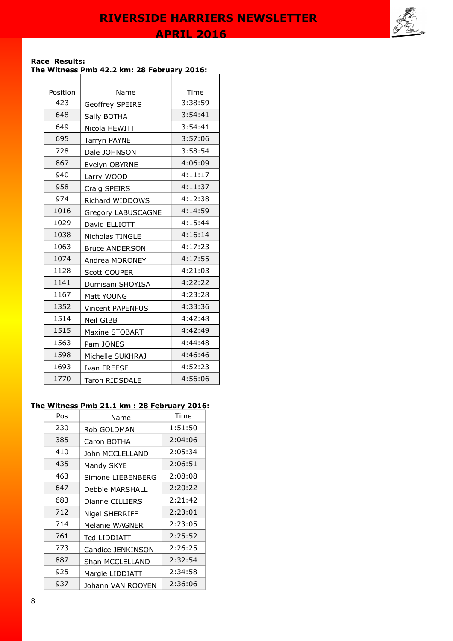

#### **Race Results: The Witness Pmb 42.2 km: 28 February 2016:**

| Position | Name                      | Time    |
|----------|---------------------------|---------|
| 423      | Geoffrey SPEIRS           | 3:38:59 |
| 648      | Sally BOTHA               | 3:54:41 |
| 649      | Nicola HEWITT             | 3:54:41 |
| 695      | Tarryn PAYNE              | 3:57:06 |
| 728      | Dale JOHNSON              | 3:58:54 |
| 867      | Evelyn OBYRNE             | 4:06:09 |
| 940      | Larry WOOD                | 4:11:17 |
| 958      | Craig SPEIRS              | 4:11:37 |
| 974      | Richard WIDDOWS           | 4:12:38 |
| 1016     | <b>Gregory LABUSCAGNE</b> | 4:14:59 |
| 1029     | David ELLIOTT             | 4:15:44 |
| 1038     | Nicholas TINGLE           | 4:16:14 |
| 1063     | <b>Bruce ANDERSON</b>     | 4:17:23 |
| 1074     | Andrea MORONEY            | 4:17:55 |
| 1128     | <b>Scott COUPER</b>       | 4:21:03 |
| 1141     | Dumisani SHOYISA          | 4:22:22 |
| 1167     | Matt YOUNG                | 4:23:28 |
| 1352     | <b>Vincent PAPENFUS</b>   | 4:33:36 |
| 1514     | Neil GIBB                 | 4:42:48 |
| 1515     | Maxine STOBART            | 4:42:49 |
| 1563     | Pam JONES                 | 4:44:48 |
| 1598     | Michelle SUKHRAJ          | 4:46:46 |
| 1693     | Ivan FREESE               | 4:52:23 |
| 1770     | <b>Taron RIDSDALE</b>     | 4:56:06 |

### **The Witness Pmb 21.1 km : 28 February 2016:**

| Pos | Name                   | Time    |
|-----|------------------------|---------|
| 230 | Rob GOLDMAN            | 1:51:50 |
| 385 | Caron BOTHA            | 2:04:06 |
| 410 | John MCCLELLAND        | 2:05:34 |
| 435 | Mandy SKYE             | 2:06:51 |
| 463 | Simone LIEBENBERG      | 2:08:08 |
| 647 | Debbie MARSHALL        | 2:20:22 |
| 683 | Dianne CILLIERS        | 2:21:42 |
| 712 | Nigel SHERRIFF         | 2:23:01 |
| 714 | Melanie WAGNER         | 2:23:05 |
| 761 | Ted LIDDIATT           | 2:25:52 |
| 773 | Candice JENKINSON      | 2:26:25 |
| 887 | <b>Shan MCCLELLAND</b> | 2:32:54 |
| 925 | Margie LIDDIATT        | 2:34:58 |
| 937 | Johann VAN ROOYEN      | 2:36:06 |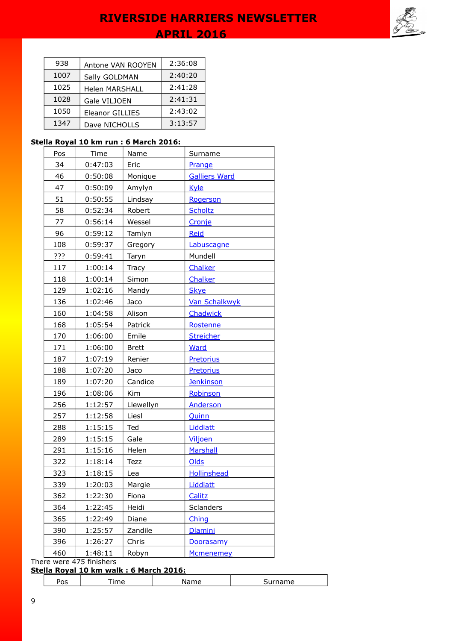

| 938  | Antone VAN ROOYEN     | 2:36:08 |
|------|-----------------------|---------|
| 1007 | Sally GOLDMAN         | 2:40:20 |
| 1025 | <b>Helen MARSHALL</b> | 2:41:28 |
| 1028 | Gale VILJOEN          | 2:41:31 |
| 1050 | Eleanor GILLIES       | 2:43:02 |
| 1347 | Dave NICHOLLS         | 3:13:57 |

### **Stella Royal 10 km run : 6 March 2016:**

| Pos | Time    | Name         | Surname              |  |
|-----|---------|--------------|----------------------|--|
| 34  | 0:47:03 | Eric         | Prange               |  |
| 46  | 0:50:08 | Monique      | <b>Galliers Ward</b> |  |
| 47  | 0:50:09 | Amylyn       | Kyle                 |  |
| 51  | 0:50:55 | Lindsay      | Rogerson             |  |
| 58  | 0:52:34 | Robert       | <b>Scholtz</b>       |  |
| 77  | 0:56:14 | Wessel       | Cronje               |  |
| 96  | 0:59:12 | Tamlyn       | <b>Reid</b>          |  |
| 108 | 0:59:37 | Gregory      | Labuscagne           |  |
| ??? | 0:59:41 | Taryn        | Mundell              |  |
| 117 | 1:00:14 | Tracy        | Chalker              |  |
| 118 | 1:00:14 | Simon        | Chalker              |  |
| 129 | 1:02:16 | Mandy        | <b>Skye</b>          |  |
| 136 | 1:02:46 | Jaco         | <b>Van Schalkwyk</b> |  |
| 160 | 1:04:58 | Alison       | Chadwick             |  |
| 168 | 1:05:54 | Patrick      | Rostenne             |  |
| 170 | 1:06:00 | Emile        | <b>Streicher</b>     |  |
| 171 | 1:06:00 | <b>Brett</b> | <b>Ward</b>          |  |
| 187 | 1:07:19 | Renier       | <b>Pretorius</b>     |  |
| 188 | 1:07:20 | Jaco         | <b>Pretorius</b>     |  |
| 189 | 1:07:20 | Candice      | <b>Jenkinson</b>     |  |
| 196 | 1:08:06 | Kim          | Robinson             |  |
| 256 | 1:12:57 | Llewellyn    | <b>Anderson</b>      |  |
| 257 | 1:12:58 | Liesl        | Quinn                |  |
| 288 | 1:15:15 | Ted          | Liddiatt             |  |
| 289 | 1:15:15 | Gale         | Viljoen              |  |
| 291 | 1:15:16 | Helen        | <b>Marshall</b>      |  |
| 322 | 1:18:14 | Tezz         | Olds                 |  |
| 323 | 1:18:15 | Lea          | <b>Hollinshead</b>   |  |
| 339 | 1:20:03 | Margie       | Liddiatt             |  |
| 362 | 1:22:30 | Fiona        | Calitz               |  |
| 364 | 1:22:45 | Heidi        | Sclanders            |  |
| 365 | 1:22:49 | Diane        | Ching                |  |
| 390 | 1:25:57 | Zandile      | <b>Dlamini</b>       |  |
| 396 | 1:26:27 | Chris        | Doorasamy            |  |
| 460 | 1:48:11 | Robyn        | <b>Mcmenemey</b>     |  |

There were 475 finishers

## **Stella Royal 10 km walk : 6 March 2016:**

|--|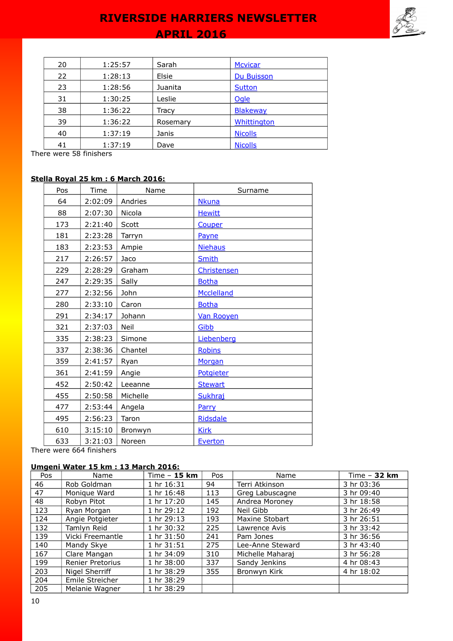# **APRIL 2016 RIVERSIDE HARRIERS NEWSLETTER**

| 20 | 1:25:57 | Sarah    | <b>Mcvicar</b>  |
|----|---------|----------|-----------------|
| 22 | 1:28:13 | Elsie    | Du Buisson      |
| 23 | 1:28:56 | Juanita  | <b>Sutton</b>   |
| 31 | 1:30:25 | Leslie   | Ogle            |
| 38 | 1:36:22 | Tracy    | <b>Blakeway</b> |
| 39 | 1:36:22 | Rosemary | Whittington     |
| 40 | 1:37:19 | Janis    | <b>Nicolls</b>  |
| 41 | 1:37:19 | Dave     | <b>Nicolls</b>  |

There were 58 finishers

### **Stella Royal 25 km : 6 March 2016:**

| Pos | Time    | Name     | Surname           |
|-----|---------|----------|-------------------|
| 64  | 2:02:09 | Andries  | <b>Nkuna</b>      |
| 88  | 2:07:30 | Nicola   | <b>Hewitt</b>     |
| 173 | 2:21:40 | Scott    | Couper            |
| 181 | 2:23:28 | Tarryn   | <b>Payne</b>      |
| 183 | 2:23:53 | Ampie    | <b>Niehaus</b>    |
| 217 | 2:26:57 | Jaco     | <b>Smith</b>      |
| 229 | 2:28:29 | Graham   | Christensen       |
| 247 | 2:29:35 | Sally    | <b>Botha</b>      |
| 277 | 2:32:56 | John     | Mcclelland        |
| 280 | 2:33:10 | Caron    | <b>Botha</b>      |
| 291 | 2:34:17 | Johann   | <b>Van Rooyen</b> |
| 321 | 2:37:03 | Neil     | Gibb              |
| 335 | 2:38:23 | Simone   | Liebenberg        |
| 337 | 2:38:36 | Chantel  | <b>Robins</b>     |
| 359 | 2:41:57 | Ryan     | Morgan            |
| 361 | 2:41:59 | Angie    | Potgieter         |
| 452 | 2:50:42 | Leeanne  | <b>Stewart</b>    |
| 455 | 2:50:58 | Michelle | Sukhraj           |
| 477 | 2:53:44 | Angela   | Parry             |
| 495 | 2:56:23 | Taron    | Ridsdale          |
| 610 | 3:15:10 | Bronwyn  | <b>Kirk</b>       |
| 633 | 3:21:03 | Noreen   | Everton           |

There were 664 finishers

### **Umgeni Water 15 km : 13 March 2016:**

| Pos | Name             | Time $-$ 15 km | Pos | Name             | Time $-32$ km |
|-----|------------------|----------------|-----|------------------|---------------|
| 46  | Rob Goldman      | 1 hr 16:31     | 94  | Terri Atkinson   | 3 hr 03:36    |
| 47  | Monique Ward     | 1 hr 16:48     | 113 | Greg Labuscagne  | 3 hr 09:40    |
| 48  | Robyn Pitot      | 1 hr 17:20     | 145 | Andrea Moroney   | 3 hr 18:58    |
| 123 | Ryan Morgan      | 1 hr 29:12     | 192 | Neil Gibb        | 3 hr 26:49    |
| 124 | Angie Potgieter  | 1 hr 29:13     | 193 | Maxine Stobart   | 3 hr 26:51    |
| 132 | Tamlyn Reid      | 1 hr 30:32     | 225 | Lawrence Avis    | 3 hr 33:42    |
| 139 | Vicki Freemantle | 1 hr 31:50     | 241 | Pam Jones        | 3 hr 36:56    |
| 140 | Mandy Skye       | 1 hr 31:51     | 275 | Lee-Anne Steward | 3 hr 43:40    |
| 167 | Clare Mangan     | 1 hr 34:09     | 310 | Michelle Maharaj | 3 hr 56:28    |
| 199 | Renier Pretorius | 1 hr 38:00     | 337 | Sandy Jenkins    | 4 hr 08:43    |
| 203 | Nigel Sherriff   | 1 hr 38:29     | 355 | Bronwyn Kirk     | 4 hr 18:02    |
| 204 | Emile Streicher  | 1 hr 38:29     |     |                  |               |
| 205 | Melanie Wagner   | 1 hr 38:29     |     |                  |               |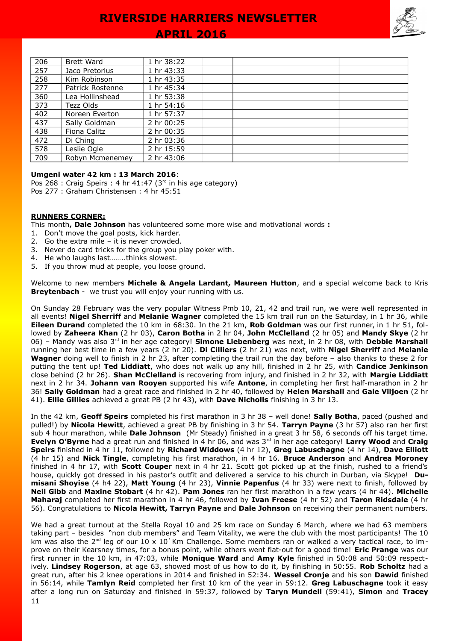### **APRIL 2016**

| 206 | <b>Brett Ward</b> | 1 hr 38:22 |  |  |
|-----|-------------------|------------|--|--|
| 257 | Jaco Pretorius    | 1 hr 43:33 |  |  |
| 258 | Kim Robinson      | 1 hr 43:35 |  |  |
| 277 | Patrick Rostenne  | 1 hr 45:34 |  |  |
| 360 | Lea Hollinshead   | 1 hr 53:38 |  |  |
| 373 | Tezz Olds         | 1 hr 54:16 |  |  |
| 402 | Noreen Everton    | 1 hr 57:37 |  |  |
| 437 | Sally Goldman     | 2 hr 00:25 |  |  |
| 438 | Fiona Calitz      | 2 hr 00:35 |  |  |
| 472 | Di Ching          | 2 hr 03:36 |  |  |
| 578 | Leslie Ogle       | 2 hr 15:59 |  |  |
| 709 | Robyn Mcmenemey   | 2 hr 43:06 |  |  |

#### **Umgeni water 42 km : 13 March 2016**:

Pos 268 : Craig Speirs : 4 hr 41:47 (3rd in his age category) Pos 277 : Graham Christensen : 4 hr 45:51

#### **RUNNERS CORNER:**

This month**, Dale Johnson** has volunteered some more wise and motivational words **:** 

- 1. Don't move the goal posts, kick harder.
- 2. Go the extra mile it is never crowded.
- 3. Never do card tricks for the group you play poker with.
- 4. He who laughs last……..thinks slowest.
- 5. If you throw mud at people, you loose ground.

Welcome to new members **Michele & Angela Lardant, Maureen Hutton**, and a special welcome back to Kris **Breytenbach** - we trust you will enjoy your running with us.

On Sunday 28 February was the very popular Witness Pmb 10, 21, 42 and trail run, we were well represented in all events! **Nigel Sherriff** and **Melanie Wagner** completed the 15 km trail run on the Saturday, in 1 hr 36, while **Eileen Durand** completed the 10 km in 68:30. In the 21 km, **Rob Goldman** was our first runner, in 1 hr 51, followed by **Zaheera Khan** (2 hr 03), **Caron Botha** in 2 hr 04, **John McClelland** (2 hr 05) and **Mandy Skye** (2 hr 06) – Mandy was also 3rd in her age category! **Simone Liebenberg** was next, in 2 hr 08, with **Debbie Marshall** running her best time in a few years (2 hr 20). **Di Cilliers** (2 hr 21) was next, with **Nigel Sherriff** and **Melanie Wagner** doing well to finish in 2 hr 23, after completing the trail run the day before – also thanks to these 2 for putting the tent up! **Ted Liddiatt**, who does not walk up any hill, finished in 2 hr 25, with **Candice Jenkinson** close behind (2 hr 26). **Shan McClelland** is recovering from injury, and finished in 2 hr 32, with **Margie Liddiatt** next in 2 hr 34. **Johann van Rooyen** supported his wife **Antone**, in completing her first half-marathon in 2 hr 36! **Sally Goldman** had a great race and finished in 2 hr 40, followed by **Helen Marshall** and **Gale Viljoen** (2 hr 41). **Ellie Gillies** achieved a great PB (2 hr 43), with **Dave Nicholls** finishing in 3 hr 13.

In the 42 km, **Geoff Speirs** completed his first marathon in 3 hr 38 – well done! **Sally Botha**, paced (pushed and pulled!) by **Nicola Hewitt**, achieved a great PB by finishing in 3 hr 54. **Tarryn Payne** (3 hr 57) also ran her first sub 4 hour marathon, while **Dale Johnson** (Mr Steady) finished in a great 3 hr 58, 6 seconds off his target time. **Evelyn O'Byrne** had a great run and finished in 4 hr 06, and was 3rd in her age category! **Larry Wood** and **Craig Speirs** finished in 4 hr 11, followed by **Richard Widdows** (4 hr 12), **Greg Labuschagne** (4 hr 14), **Dave Elliott** (4 hr 15) and **Nick Tingle**, completing his first marathon, in 4 hr 16. **Bruce Anderson** and **Andrea Moroney** finished in 4 hr 17, with **Scott Couper** next in 4 hr 21. Scott got picked up at the finish, rushed to a friend's house, quickly got dressed in his pastor's outfit and delivered a service to his church in Durban, via Skype! **Dumisani Shoyise** (4 h4 22), **Matt Young** (4 hr 23), **Vinnie Papenfus** (4 hr 33) were next to finish, followed by **Neil Gibb** and **Maxine Stobart** (4 hr 42). **Pam Jones** ran her first marathon in a few years (4 hr 44). **Michelle Maharaj** completed her first marathon in 4 hr 46, followed by **Ivan Freese** (4 hr 52) and **Taron Ridsdale** (4 hr 56). Congratulations to **Nicola Hewitt, Tarryn Payne** and **Dale Johnson** on receiving their permanent numbers.

We had a great turnout at the Stella Royal 10 and 25 km race on Sunday 6 March, where we had 63 members taking part – besides "non club members" and Team Vitality, we were the club with the most participants! The 10 km was also the  $2^{nd}$  leg of our 10 x 10 Km Challenge. Some members ran or walked a very tactical race, to improve on their Kearsney times, for a bonus point, while others went flat-out for a good time! **Eric Prange** was our first runner in the 10 km, in 47:03, while **Monique Ward** and **Amy Kyle** finished in 50:08 and 50:09 respectively. **Lindsey Rogerson**, at age 63, showed most of us how to do it, by finishing in 50:55. **Rob Scholtz** had a great run, after his 2 knee operations in 2014 and finished in 52:34. **Wessel Cronje** and his son **Dawid** finished in 56:14, while **Tamlyn Reid** completed her first 10 km of the year in 59:12. **Greg Labuschagne** took it easy after a long run on Saturday and finished in 59:37, followed by **Taryn Mundell** (59:41), **Simon** and **Tracey**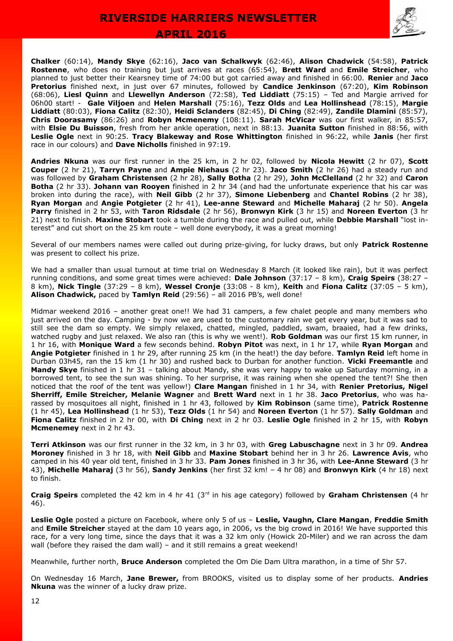



**Chalker** (60:14), **Mandy Skye** (62:16), **Jaco van Schalkwyk** (62:46), **Alison Chadwick** (54:58), **Patrick Rostenne**, who does no training but just arrives at races (65:54), **Brett Ward** and **Emile Streicher**, who planned to just better their Kearsney time of 74:00 but got carried away and finished in 66:00. **Renier** and **Jaco Pretorius** finished next, in just over 67 minutes, followed by **Candice Jenkinson** (67:20), **Kim Robinson** (68:06), **Liesl Quinn** and **Llewellyn Anderson** (72:58), **Ted Liddiatt** (75:15) – Ted and Margie arrived for 06h00 start! - **Gale Viljoen** and **Helen Marshall** (75:16), **Tezz Olds** and **Lea Hollinshead** (78:15), **Margie Liddiatt** (80:03), **Fiona Calitz** (82:30), **Heidi Sclanders** (82:45), **Di Ching** (82:49), **Zandile Dlamini** (85:57), **Chris Doorasamy** (86:26) and **Robyn Mcmenemy** (108:11). **Sarah McVicar** was our first walker, in 85:57, with **Elsie Du Buisson**, fresh from her ankle operation, next in 88:13. **Juanita Sutton** finished in 88:56, with **Leslie Ogle** next in 90:25. **Tracy Blakeway and Rose Whittington** finished in 96:22, while **Janis** (her first race in our colours) and **Dave Nicholls** finished in 97:19.

**Andries Nkuna** was our first runner in the 25 km, in 2 hr 02, followed by **Nicola Hewitt** (2 hr 07), **Scott Couper** (2 hr 21), **Tarryn Payne** and **Ampie Niehaus** (2 hr 23). **Jaco Smith** (2 hr 26) had a steady run and was followed by **Graham Christensen** (2 hr 28), **Sally Botha** (2 hr 29), **John McClelland** (2 hr 32) and **Caron Botha** (2 hr 33). **Johann van Rooyen** finished in 2 hr 34 (and had the unfortunate experience that his car was broken into during the race), with **Neil Gibb** (2 hr 37), **Simone Liebenberg** and **Chantel Robins** (2 hr 38), **Ryan Morgan** and **Angie Potgieter** (2 hr 41), **Lee-anne Steward** and **Michelle Maharaj** (2 hr 50). **Angela Parry** finished in 2 hr 53, with **Taron Ridsdale** (2 hr 56), **Bronwyn Kirk** (3 hr 15) and **Noreen Everton** (3 hr 21) next to finish. **Maxine Stobart** took a tumble during the race and pulled out, while **Debbie Marshall** "lost interest" and cut short on the 25 km route – well done everybody, it was a great morning!

Several of our members names were called out during prize-giving, for lucky draws, but only **Patrick Rostenne** was present to collect his prize.

We had a smaller than usual turnout at time trial on Wednesday 8 March (it looked like rain), but it was perfect running conditions, and some great times were achieved: **Dale Johnson** (37:17 – 8 km), **Craig Speirs** (38:27 – 8 km), **Nick Tingle** (37:29 – 8 km), **Wessel Cronje** (33:08 - 8 km), **Keith** and **Fiona Calitz** (37:05 – 5 km), **Alison Chadwick,** paced by **Tamlyn Reid** (29:56) – all 2016 PB's, well done!

Midmar weekend 2016 – another great one!! We had 31 campers, a few chalet people and many members who just arrived on the day. Camping - by now we are used to the customary rain we get every year, but it was sad to still see the dam so empty. We simply relaxed, chatted, mingled, paddled, swam, braaied, had a few drinks, watched rugby and just relaxed. We also ran (this is why we went!). **Rob Goldman** was our first 15 km runner, in 1 hr 16, with **Monique Ward** a few seconds behind. **Robyn Pitot** was next, in 1 hr 17, while **Ryan Morgan** and **Angie Potgieter** finished in 1 hr 29, after running 25 km (in the heat!) the day before. **Tamlyn Reid** left home in Durban 03h45, ran the 15 km (1 hr 30) and rushed back to Durban for another function. **Vicki Freemantle** and **Mandy Skye** finished in 1 hr 31 – talking about Mandy, she was very happy to wake up Saturday morning, in a borrowed tent, to see the sun was shining. To her surprise, it was raining when she opened the tent?! She then noticed that the roof of the tent was yellow!) **Clare Mangan** finished in 1 hr 34, with **Renier Pretorius, Nigel Sherriff, Emile Streicher, Melanie Wagner** and **Brett Ward** next in 1 hr 38. **Jaco Pretorius**, who was harassed by mosquitoes all night, finished in 1 hr 43, followed by **Kim Robinson** (same time), **Patrick Rostenne** (1 hr 45), **Lea Hollinshead** (1 hr 53), **Tezz Olds** (1 hr 54) and **Noreen Everton** (1 hr 57). **Sally Goldman** and **Fiona Calitz** finished in 2 hr 00, with **Di Ching** next in 2 hr 03. **Leslie Ogle** finished in 2 hr 15, with **Robyn Mcmenemey** next in 2 hr 43.

**Terri Atkinson** was our first runner in the 32 km, in 3 hr 03, with **Greg Labuschagne** next in 3 hr 09. **Andrea Moroney** finished in 3 hr 18, with **Neil Gibb** and **Maxine Stobart** behind her in 3 hr 26. **Lawrence Avis**, who camped in his 40 year old tent, finished in 3 hr 33. **Pam Jones** finished in 3 hr 36, with **Lee-Anne Steward** (3 hr 43), **Michelle Maharaj** (3 hr 56), **Sandy Jenkins** (her first 32 km! – 4 hr 08) and **Bronwyn Kirk** (4 hr 18) next to finish.

**Craig Speirs** completed the 42 km in 4 hr 41 (3rd in his age category) followed by **Graham Christensen** (4 hr 46).

**Leslie Ogle** posted a picture on Facebook, where only 5 of us – **Leslie, Vaughn, Clare Mangan**, **Freddie Smith** and **Emile Streicher** stayed at the dam 10 years ago, in 2006, vs the big crowd in 2016! We have supported this race, for a very long time, since the days that it was a 32 km only (Howick 20-Miler) and we ran across the dam wall (before they raised the dam wall) - and it still remains a great weekend!

Meanwhile, further north, **Bruce Anderson** completed the Om Die Dam Ultra marathon, in a time of 5hr 57.

On Wednesday 16 March, **Jane Brewer,** from BROOKS, visited us to display some of her products. **Andries Nkuna** was the winner of a lucky draw prize.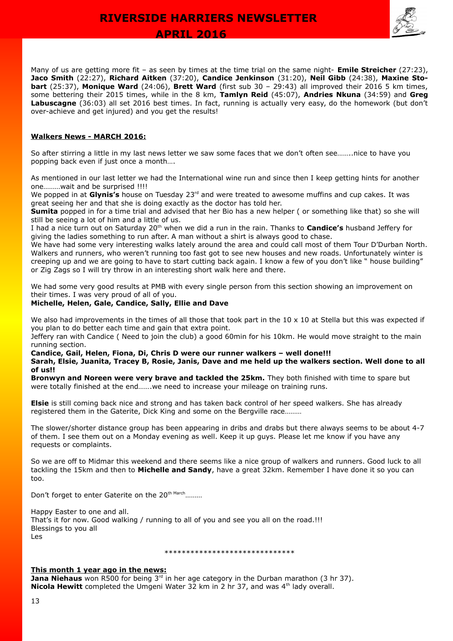

Many of us are getting more fit – as seen by times at the time trial on the same night- **Emile Streicher** (27:23), **Jaco Smith** (22:27), **Richard Aitken** (37:20), **Candice Jenkinson** (31:20), **Neil Gibb** (24:38), **Maxine Stobart** (25:37), **Monique Ward** (24:06), **Brett Ward** (first sub 30 – 29:43) all improved their 2016 5 km times, some bettering their 2015 times, while in the 8 km, **Tamlyn Reid** (45:07), **Andries Nkuna** (34:59) and **Greg Labuscagne** (36:03) all set 2016 best times. In fact, running is actually very easy, do the homework (but don't over-achieve and get injured) and you get the results!

#### **Walkers News - MARCH 2016:**

So after stirring a little in my last news letter we saw some faces that we don't often see……..nice to have you popping back even if just once a month….

As mentioned in our last letter we had the International wine run and since then I keep getting hints for another one………wait and be surprised !!!!

We popped in at **Glynis's** house on Tuesday 23<sup>rd</sup> and were treated to awesome muffins and cup cakes. It was great seeing her and that she is doing exactly as the doctor has told her.

**Sumita** popped in for a time trial and advised that her Bio has a new helper ( or something like that) so she will still be seeing a lot of him and a little of us.

I had a nice turn out on Saturday 20<sup>th</sup> when we did a run in the rain. Thanks to **Candice's** husband Jeffery for giving the ladies something to run after. A man without a shirt is always good to chase.

We have had some very interesting walks lately around the area and could call most of them Tour D'Durban North. Walkers and runners, who weren't running too fast got to see new houses and new roads. Unfortunately winter is creeping up and we are going to have to start cutting back again. I know a few of you don't like " house building" or Zig Zags so I will try throw in an interesting short walk here and there.

We had some very good results at PMB with every single person from this section showing an improvement on their times. I was very proud of all of you.

#### **Michelle, Helen, Gale, Candice, Sally, Ellie and Dave**

We also had improvements in the times of all those that took part in the  $10 \times 10$  at Stella but this was expected if you plan to do better each time and gain that extra point.

Jeffery ran with Candice ( Need to join the club) a good 60min for his 10km. He would move straight to the main running section.

#### **Candice, Gail, Helen, Fiona, Di, Chris D were our runner walkers – well done!!! Sarah, Elsie, Juanita, Tracey B, Rosie, Janis, Dave and me held up the walkers section. Well done to all of us!!**

**Bronwyn and Noreen were very brave and tackled the 25km.** They both finished with time to spare but were totally finished at the end…….we need to increase your mileage on training runs.

**Elsie** is still coming back nice and strong and has taken back control of her speed walkers. She has already registered them in the Gaterite, Dick King and some on the Bergville race………

The slower/shorter distance group has been appearing in dribs and drabs but there always seems to be about 4-7 of them. I see them out on a Monday evening as well. Keep it up guys. Please let me know if you have any requests or complaints.

So we are off to Midmar this weekend and there seems like a nice group of walkers and runners. Good luck to all tackling the 15km and then to **Michelle and Sandy**, have a great 32km. Remember I have done it so you can too.

Don't forget to enter Gaterite on the 20<sup>th March</sup>………

Happy Easter to one and all. That's it for now. Good walking / running to all of you and see you all on the road.!!! Blessings to you all Les

#### \*\*\*\*\*\*\*\*\*\*\*\*\*\*\*\*\*\*\*\*\*\*\*\*\*\*\*\*\*\*

#### **This month 1 year ago in the news:**

**Jana Niehaus** won R500 for being 3<sup>rd</sup> in her age category in the Durban marathon (3 hr 37). Nicola Hewitt completed the Umgeni Water 32 km in 2 hr 37, and was 4<sup>th</sup> lady overall.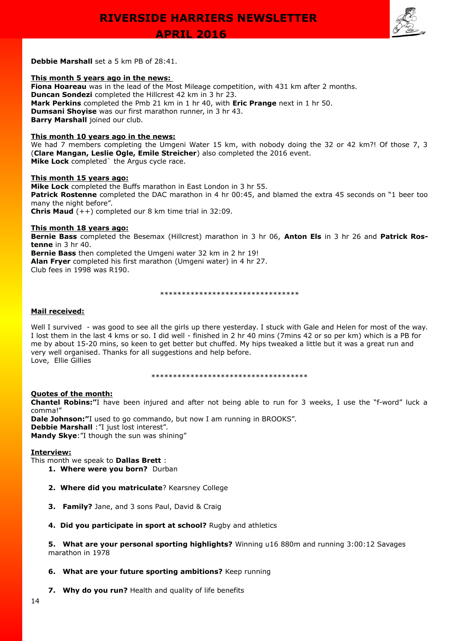

**Debbie Marshall** set a 5 km PB of 28:41.

#### **This month 5 years ago in the news:**

**Fiona Hoareau** was in the lead of the Most Mileage competition, with 431 km after 2 months. **Duncan Sondezi** completed the Hillcrest 42 km in 3 hr 23. **Mark Perkins** completed the Pmb 21 km in 1 hr 40, with **Eric Prange** next in 1 hr 50. **Dumsani Shoyise** was our first marathon runner, in 3 hr 43. **Barry Marshall** joined our club.

#### **This month 10 years ago in the news:**

We had 7 members completing the Umgeni Water 15 km, with nobody doing the 32 or 42 km?! Of those 7, 3 (**Clare Mangan, Leslie Ogle, Emile Streicher**) also completed the 2016 event. **Mike Lock** completed` the Argus cycle race.

#### **This month 15 years ago:**

**Mike Lock** completed the Buffs marathon in East London in 3 hr 55. **Patrick Rostenne** completed the DAC marathon in 4 hr 00:45, and blamed the extra 45 seconds on "1 beer too many the night before". **Chris Maud** (++) completed our 8 km time trial in 32:09.

#### **This month 18 years ago:**

**Bernie Bass** completed the Besemax (Hillcrest) marathon in 3 hr 06, **Anton Els** in 3 hr 26 and **Patrick Rostenne** in 3 hr 40.

**Bernie Bass** then completed the Umgeni water 32 km in 2 hr 19!

**Alan Fryer** completed his first marathon (Umgeni water) in 4 hr 27.

Club fees in 1998 was R190.

\*\*\*\*\*\*\*\*\*\*\*\*\*\*\*\*\*\*\*\*\*\*\*\*\*\*\*\*\*\*\*\*

#### **Mail received:**

Well I survived - was good to see all the girls up there yesterday. I stuck with Gale and Helen for most of the way. I lost them in the last 4 kms or so. I did well - finished in 2 hr 40 mins (7mins 42 or so per km) which is a PB for me by about 15-20 mins, so keen to get better but chuffed. My hips tweaked a little but it was a great run and very well organised. Thanks for all suggestions and help before. Love, Ellie Gillies

\*\*\*\*\*\*\*\*\*\*\*\*\*\*\*\*\*\*\*\*\*\*\*\*\*\*\*\*\*\*\*\*\*\*\*\*

#### **Quotes of the month:**

**Chantel Robins:"**I have been injured and after not being able to run for 3 weeks, I use the "f-word" luck a comma!"

**Dale Johnson:"**I used to go commando, but now I am running in BROOKS". **Debbie Marshall** :"I just lost interest". **Mandy Skye**:"I though the sun was shining"

#### **Interview:**

This month we speak to **Dallas Brett** :

- **1. Where were you born?** Durban
	- **2. Where did you matriculate**? Kearsney College
	- **3. Family?** Jane, and 3 sons Paul, David & Craig
	- **4. Did you participate in sport at school?** Rugby and athletics

**5. What are your personal sporting highlights?** Winning u16 880m and running 3:00:12 Savages marathon in 1978

#### **6. What are your future sporting ambitions?** Keep running

**7. Why do you run?** Health and quality of life benefits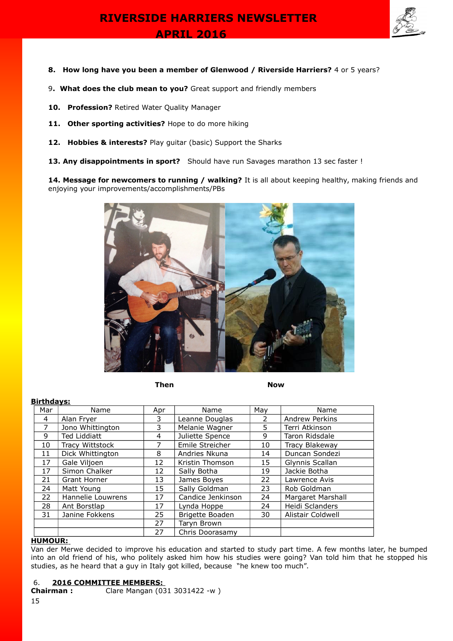

- **8. How long have you been a member of Glenwood / Riverside Harriers?** 4 or 5 years?
- 9**. What does the club mean to you?** Great support and friendly members
- **10. Profession?** Retired Water Quality Manager
- 11. Other sporting activities? Hope to do more hiking
- **12. Hobbies & interests?** Play guitar (basic) Support the Sharks
- 13. Any disappointments in sport? Should have run Savages marathon 13 sec faster !

14. Message for newcomers to running / walking? It is all about keeping healthy, making friends and enjoying your improvements/accomplishments/PBs



**Then Now Research International Studies (Now Now** 

#### **Birthdays:**

| Mar | Name                | Apr | Name              | May | Name                  |
|-----|---------------------|-----|-------------------|-----|-----------------------|
| 4   | Alan Fryer          | 3   | Leanne Douglas    | 2   | <b>Andrew Perkins</b> |
|     | Jono Whittington    | 3   | Melanie Wagner    | 5.  | Terri Atkinson        |
| 9   | <b>Ted Liddiatt</b> | 4   | Juliette Spence   | 9   | Taron Ridsdale        |
| 10  | Tracy Wittstock     |     | Emile Streicher   | 10  | Tracy Blakeway        |
| 11  | Dick Whittington    | 8   | Andries Nkuna     | 14  | Duncan Sondezi        |
| 17  | Gale Viljoen        | 12  | Kristin Thomson   | 15  | Glynnis Scallan       |
| 17  | Simon Chalker       | 12  | Sally Botha       | 19  | Jackie Botha          |
| 21  | Grant Horner        | 13  | James Boyes       | 22  | Lawrence Avis         |
| 24  | Matt Young          | 15  | Sally Goldman     | 23  | Rob Goldman           |
| 22  | Hannelie Louwrens   | 17  | Candice Jenkinson | 24  | Margaret Marshall     |
| 28  | Ant Borstlap        | 17  | Lynda Hoppe       | 24  | Heidi Sclanders       |
| 31  | Janine Fokkens      | 25  | Brigette Boaden   | 30  | Alistair Coldwell     |
|     |                     | 27  | Taryn Brown       |     |                       |
|     |                     | 27  | Chris Doorasamy   |     |                       |

#### **HUMOUR:**

Van der Merwe decided to improve his education and started to study part time. A few months later, he bumped into an old friend of his, who politely asked him how his studies were going? Van told him that he stopped his studies, as he heard that a guy in Italy got killed, because "he knew too much".

#### 6. **2016 COMMITTEE MEMBERS:**

**Chairman :** Clare Mangan (031 3031422 -w )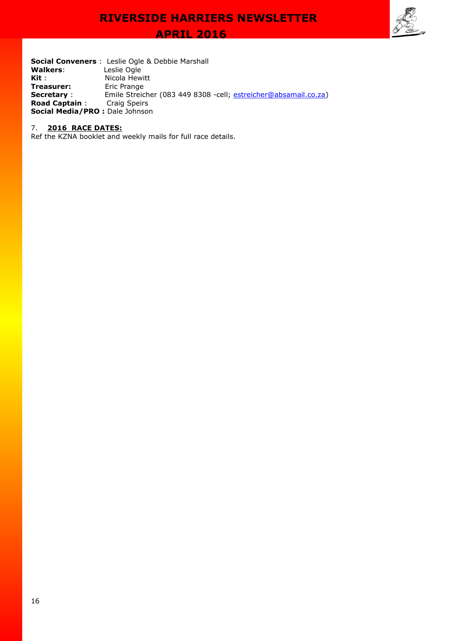**APRIL 2016** 



**Social Conveners** : Leslie Ogle & Debbie Marshall<br>**Walkers**: Leslie Ogle **Walkers**:<br>Kit : **Nicola Hewitt**<br>Eric Prange **Treasurer: Secretary** : Emile Streicher (083 449 8308 -cell; [estreicher@absamail.co.za\)](mailto:estreicher@absamail.co.za) **Road Captain** : Craig Speirs **Social Media/PRO :** Dale Johnson

#### 7. **2016 RACE DATES:**

Ref the KZNA booklet and weekly mails for full race details.